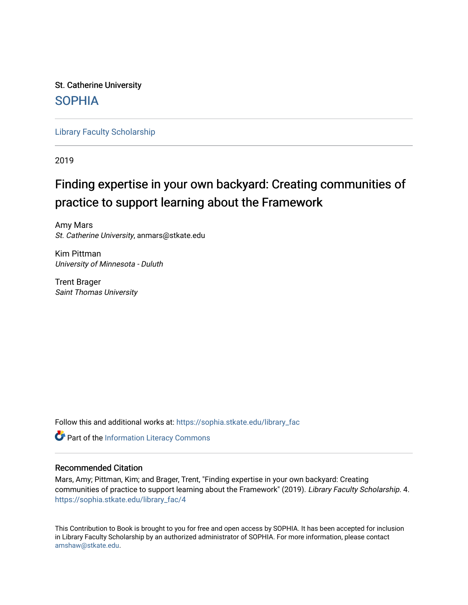St. Catherine University [SOPHIA](https://sophia.stkate.edu/) 

[Library Faculty Scholarship](https://sophia.stkate.edu/library_fac)

2019

## Finding expertise in your own backyard: Creating communities of practice to support learning about the Framework

Amy Mars St. Catherine University, anmars@stkate.edu

Kim Pittman University of Minnesota - Duluth

Trent Brager Saint Thomas University

Follow this and additional works at: [https://sophia.stkate.edu/library\\_fac](https://sophia.stkate.edu/library_fac?utm_source=sophia.stkate.edu%2Flibrary_fac%2F4&utm_medium=PDF&utm_campaign=PDFCoverPages)

**Part of the [Information Literacy Commons](http://network.bepress.com/hgg/discipline/1243?utm_source=sophia.stkate.edu%2Flibrary_fac%2F4&utm_medium=PDF&utm_campaign=PDFCoverPages)** 

#### Recommended Citation

Mars, Amy; Pittman, Kim; and Brager, Trent, "Finding expertise in your own backyard: Creating communities of practice to support learning about the Framework" (2019). Library Faculty Scholarship. 4. [https://sophia.stkate.edu/library\\_fac/4](https://sophia.stkate.edu/library_fac/4?utm_source=sophia.stkate.edu%2Flibrary_fac%2F4&utm_medium=PDF&utm_campaign=PDFCoverPages)

This Contribution to Book is brought to you for free and open access by SOPHIA. It has been accepted for inclusion in Library Faculty Scholarship by an authorized administrator of SOPHIA. For more information, please contact [amshaw@stkate.edu](mailto:amshaw@stkate.edu).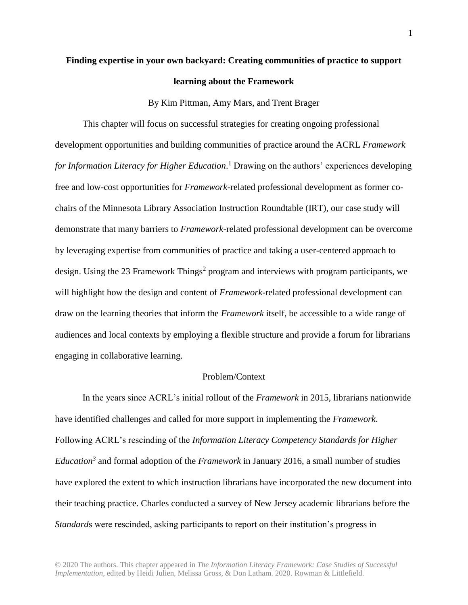### **Finding expertise in your own backyard: Creating communities of practice to support learning about the Framework**

#### By Kim Pittman, Amy Mars, and Trent Brager

This chapter will focus on successful strategies for creating ongoing professional development opportunities and building communities of practice around the ACRL *Framework for Information Literacy for Higher Education*. <sup>1</sup> Drawing on the authors' experiences developing free and low-cost opportunities for *Framework*-related professional development as former cochairs of the Minnesota Library Association Instruction Roundtable (IRT), our case study will demonstrate that many barriers to *Framework*-related professional development can be overcome by leveraging expertise from communities of practice and taking a user-centered approach to design. Using the 23 Framework Things<sup>2</sup> program and interviews with program participants, we will highlight how the design and content of *Framework*-related professional development can draw on the learning theories that inform the *Framework* itself, be accessible to a wide range of audiences and local contexts by employing a flexible structure and provide a forum for librarians engaging in collaborative learning.

#### Problem/Context

In the years since ACRL's initial rollout of the *Framework* in 2015, librarians nationwide have identified challenges and called for more support in implementing the *Framework*. Following ACRL's rescinding of the *Information Literacy Competency Standards for Higher Education<sup>3</sup>* and formal adoption of the *Framework* in January 2016, a small number of studies have explored the extent to which instruction librarians have incorporated the new document into their teaching practice. Charles conducted a survey of New Jersey academic librarians before the *Standard*s were rescinded, asking participants to report on their institution's progress in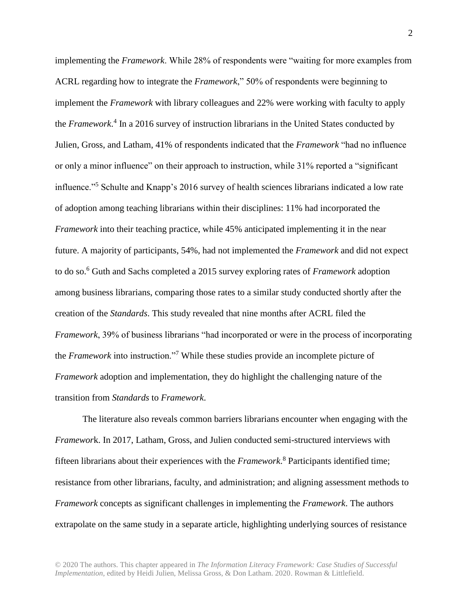implementing the *Framework*. While 28% of respondents were "waiting for more examples from ACRL regarding how to integrate the *Framework*," 50% of respondents were beginning to implement the *Framework* with library colleagues and 22% were working with faculty to apply the *Framework*. 4 In a 2016 survey of instruction librarians in the United States conducted by Julien, Gross, and Latham, 41% of respondents indicated that the *Framework* "had no influence or only a minor influence" on their approach to instruction, while 31% reported a "significant influence."<sup>5</sup> Schulte and Knapp's 2016 survey of health sciences librarians indicated a low rate of adoption among teaching librarians within their disciplines: 11% had incorporated the *Framework* into their teaching practice, while 45% anticipated implementing it in the near future. A majority of participants, 54%, had not implemented the *Framework* and did not expect to do so.<sup>6</sup> Guth and Sachs completed a 2015 survey exploring rates of *Framework* adoption among business librarians, comparing those rates to a similar study conducted shortly after the creation of the *Standards*. This study revealed that nine months after ACRL filed the *Framework*, 39% of business librarians "had incorporated or were in the process of incorporating the *Framework* into instruction."<sup>7</sup> While these studies provide an incomplete picture of *Framework* adoption and implementation, they do highlight the challenging nature of the transition from *Standards* to *Framework*.

The literature also reveals common barriers librarians encounter when engaging with the *Framewor*k. In 2017, Latham, Gross, and Julien conducted semi-structured interviews with fifteen librarians about their experiences with the *Framework*. <sup>8</sup> Participants identified time; resistance from other librarians, faculty, and administration; and aligning assessment methods to *Framework* concepts as significant challenges in implementing the *Framework*. The authors extrapolate on the same study in a separate article, highlighting underlying sources of resistance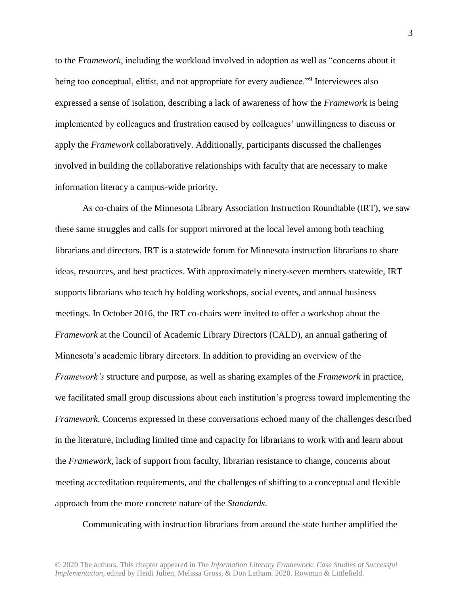to the *Framework*, including the workload involved in adoption as well as "concerns about it being too conceptual, elitist, and not appropriate for every audience."<sup>9</sup> Interviewees also expressed a sense of isolation, describing a lack of awareness of how the *Framewor*k is being implemented by colleagues and frustration caused by colleagues' unwillingness to discuss or apply the *Framework* collaboratively. Additionally, participants discussed the challenges involved in building the collaborative relationships with faculty that are necessary to make information literacy a campus-wide priority.

As co-chairs of the Minnesota Library Association Instruction Roundtable (IRT), we saw these same struggles and calls for support mirrored at the local level among both teaching librarians and directors. IRT is a statewide forum for Minnesota instruction librarians to share ideas, resources, and best practices. With approximately ninety-seven members statewide, IRT supports librarians who teach by holding workshops, social events, and annual business meetings. In October 2016, the IRT co-chairs were invited to offer a workshop about the *Framework* at the Council of Academic Library Directors (CALD), an annual gathering of Minnesota's academic library directors. In addition to providing an overview of the *Framework's* structure and purpose, as well as sharing examples of the *Framework* in practice, we facilitated small group discussions about each institution's progress toward implementing the *Framework*. Concerns expressed in these conversations echoed many of the challenges described in the literature, including limited time and capacity for librarians to work with and learn about the *Framework*, lack of support from faculty, librarian resistance to change, concerns about meeting accreditation requirements, and the challenges of shifting to a conceptual and flexible approach from the more concrete nature of the *Standards*.

Communicating with instruction librarians from around the state further amplified the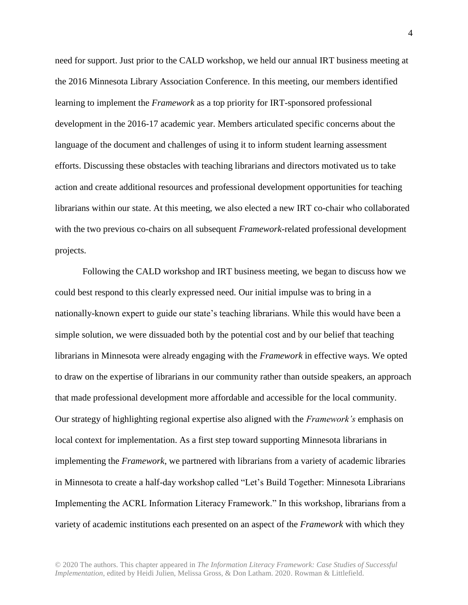need for support. Just prior to the CALD workshop, we held our annual IRT business meeting at the 2016 Minnesota Library Association Conference. In this meeting, our members identified learning to implement the *Framework* as a top priority for IRT-sponsored professional development in the 2016-17 academic year. Members articulated specific concerns about the language of the document and challenges of using it to inform student learning assessment efforts. Discussing these obstacles with teaching librarians and directors motivated us to take action and create additional resources and professional development opportunities for teaching librarians within our state. At this meeting, we also elected a new IRT co-chair who collaborated with the two previous co-chairs on all subsequent *Framework*-related professional development projects.

Following the CALD workshop and IRT business meeting, we began to discuss how we could best respond to this clearly expressed need. Our initial impulse was to bring in a nationally-known expert to guide our state's teaching librarians. While this would have been a simple solution, we were dissuaded both by the potential cost and by our belief that teaching librarians in Minnesota were already engaging with the *Framework* in effective ways. We opted to draw on the expertise of librarians in our community rather than outside speakers, an approach that made professional development more affordable and accessible for the local community. Our strategy of highlighting regional expertise also aligned with the *Framework's* emphasis on local context for implementation. As a first step toward supporting Minnesota librarians in implementing the *Framework*, we partnered with librarians from a variety of academic libraries in Minnesota to create a half-day workshop called "Let's Build Together: Minnesota Librarians Implementing the ACRL Information Literacy Framework." In this workshop, librarians from a variety of academic institutions each presented on an aspect of the *Framework* with which they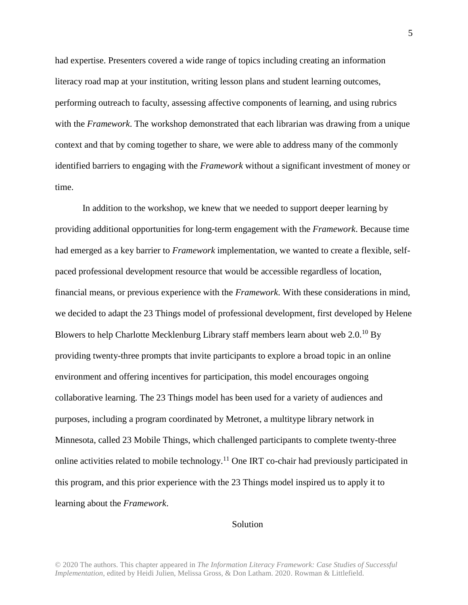had expertise. Presenters covered a wide range of topics including creating an information literacy road map at your institution, writing lesson plans and student learning outcomes, performing outreach to faculty, assessing affective components of learning, and using rubrics with the *Framework*. The workshop demonstrated that each librarian was drawing from a unique context and that by coming together to share, we were able to address many of the commonly identified barriers to engaging with the *Framework* without a significant investment of money or time.

In addition to the workshop, we knew that we needed to support deeper learning by providing additional opportunities for long-term engagement with the *Framework*. Because time had emerged as a key barrier to *Framework* implementation, we wanted to create a flexible, selfpaced professional development resource that would be accessible regardless of location, financial means, or previous experience with the *Framework*. With these considerations in mind, we decided to adapt the 23 Things model of professional development, first developed by Helene Blowers to help Charlotte Mecklenburg Library staff members learn about web 2.0.<sup>10</sup> By providing twenty-three prompts that invite participants to explore a broad topic in an online environment and offering incentives for participation, this model encourages ongoing collaborative learning. The 23 Things model has been used for a variety of audiences and purposes, including a program coordinated by Metronet, a multitype library network in Minnesota, called 23 Mobile Things, which challenged participants to complete twenty-three online activities related to mobile technology.<sup>11</sup> One IRT co-chair had previously participated in this program, and this prior experience with the 23 Things model inspired us to apply it to learning about the *Framework*.

#### Solution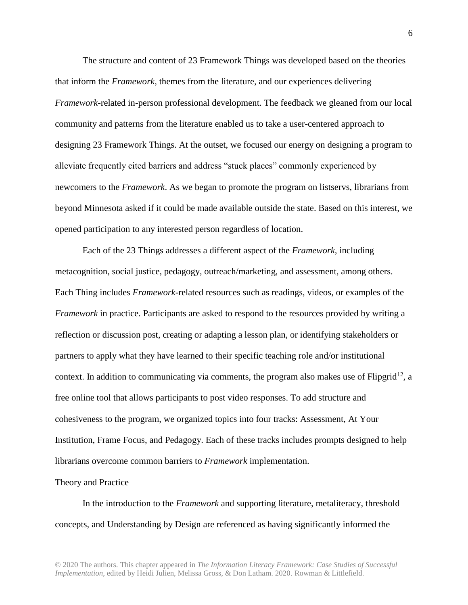The structure and content of 23 Framework Things was developed based on the theories that inform the *Framework*, themes from the literature, and our experiences delivering *Framework*-related in-person professional development. The feedback we gleaned from our local community and patterns from the literature enabled us to take a user-centered approach to designing 23 Framework Things. At the outset, we focused our energy on designing a program to alleviate frequently cited barriers and address "stuck places" commonly experienced by newcomers to the *Framework*. As we began to promote the program on listservs, librarians from beyond Minnesota asked if it could be made available outside the state. Based on this interest, we opened participation to any interested person regardless of location.

Each of the 23 Things addresses a different aspect of the *Framework*, including metacognition, social justice, pedagogy, outreach/marketing, and assessment, among others. Each Thing includes *Framework*-related resources such as readings, videos, or examples of the *Framework* in practice. Participants are asked to respond to the resources provided by writing a reflection or discussion post, creating or adapting a lesson plan, or identifying stakeholders or partners to apply what they have learned to their specific teaching role and/or institutional context. In addition to communicating via comments, the program also makes use of Flipgrid<sup>12</sup>, a free online tool that allows participants to post video responses. To add structure and cohesiveness to the program, we organized topics into four tracks: Assessment, At Your Institution, Frame Focus, and Pedagogy. Each of these tracks includes prompts designed to help librarians overcome common barriers to *Framework* implementation.

#### Theory and Practice

In the introduction to the *Framework* and supporting literature, metaliteracy, threshold concepts, and Understanding by Design are referenced as having significantly informed the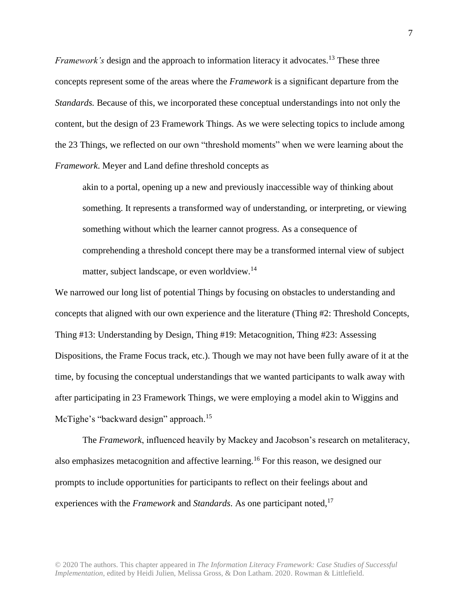*Framework's* design and the approach to information literacy it advocates.<sup>13</sup> These three concepts represent some of the areas where the *Framework* is a significant departure from the *Standards.* Because of this, we incorporated these conceptual understandings into not only the content, but the design of 23 Framework Things. As we were selecting topics to include among the 23 Things, we reflected on our own "threshold moments" when we were learning about the *Framework*. Meyer and Land define threshold concepts as

akin to a portal, opening up a new and previously inaccessible way of thinking about something. It represents a transformed way of understanding, or interpreting, or viewing something without which the learner cannot progress. As a consequence of comprehending a threshold concept there may be a transformed internal view of subject matter, subject landscape, or even worldview.<sup>14</sup>

We narrowed our long list of potential Things by focusing on obstacles to understanding and concepts that aligned with our own experience and the literature (Thing #2: Threshold Concepts, Thing #13: Understanding by Design, Thing #19: Metacognition, Thing #23: Assessing Dispositions, the Frame Focus track, etc.). Though we may not have been fully aware of it at the time, by focusing the conceptual understandings that we wanted participants to walk away with after participating in 23 Framework Things, we were employing a model akin to Wiggins and McTighe's "backward design" approach.<sup>15</sup>

The *Framework*, influenced heavily by Mackey and Jacobson's research on metaliteracy, also emphasizes metacognition and affective learning.<sup>16</sup> For this reason, we designed our prompts to include opportunities for participants to reflect on their feelings about and experiences with the *Framework* and *Standards*. As one participant noted,<sup>17</sup>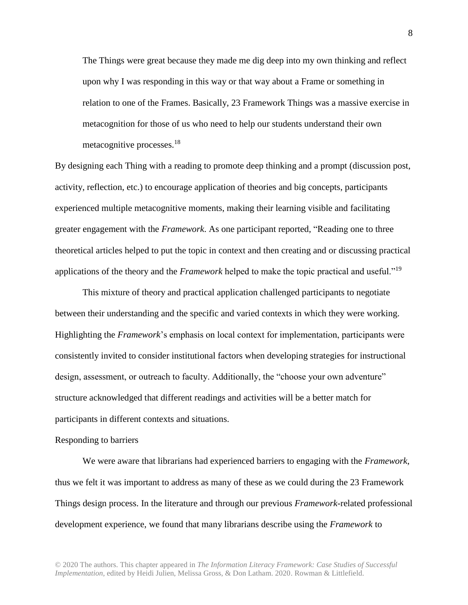The Things were great because they made me dig deep into my own thinking and reflect upon why I was responding in this way or that way about a Frame or something in relation to one of the Frames. Basically, 23 Framework Things was a massive exercise in metacognition for those of us who need to help our students understand their own metacognitive processes.<sup>18</sup>

By designing each Thing with a reading to promote deep thinking and a prompt (discussion post, activity, reflection, etc.) to encourage application of theories and big concepts, participants experienced multiple metacognitive moments, making their learning visible and facilitating greater engagement with the *Framework*. As one participant reported, "Reading one to three theoretical articles helped to put the topic in context and then creating and or discussing practical applications of the theory and the *Framework* helped to make the topic practical and useful."<sup>19</sup>

This mixture of theory and practical application challenged participants to negotiate between their understanding and the specific and varied contexts in which they were working. Highlighting the *Framework*'s emphasis on local context for implementation, participants were consistently invited to consider institutional factors when developing strategies for instructional design, assessment, or outreach to faculty. Additionally, the "choose your own adventure" structure acknowledged that different readings and activities will be a better match for participants in different contexts and situations.

#### Responding to barriers

We were aware that librarians had experienced barriers to engaging with the *Framework*, thus we felt it was important to address as many of these as we could during the 23 Framework Things design process. In the literature and through our previous *Framework*-related professional development experience, we found that many librarians describe using the *Framework* to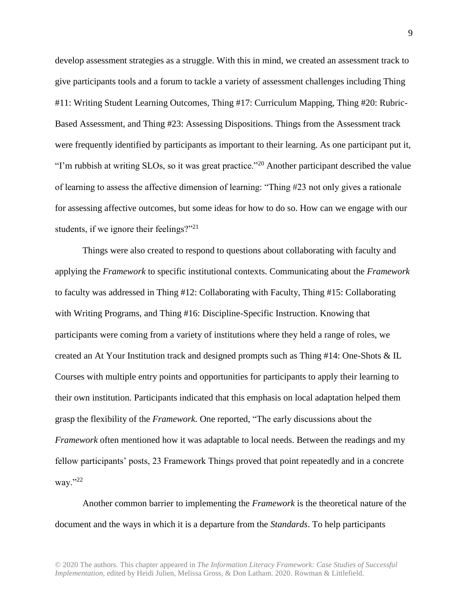develop assessment strategies as a struggle. With this in mind, we created an assessment track to give participants tools and a forum to tackle a variety of assessment challenges including Thing #11: Writing Student Learning Outcomes, Thing #17: Curriculum Mapping, Thing #20: Rubric-Based Assessment, and Thing #23: Assessing Dispositions. Things from the Assessment track were frequently identified by participants as important to their learning. As one participant put it, "I'm rubbish at writing SLOs, so it was great practice."<sup>20</sup> Another participant described the value of learning to assess the affective dimension of learning: "Thing #23 not only gives a rationale for assessing affective outcomes, but some ideas for how to do so. How can we engage with our students, if we ignore their feelings?"<sup>21</sup>

Things were also created to respond to questions about collaborating with faculty and applying the *Framework* to specific institutional contexts. Communicating about the *Framework* to faculty was addressed in Thing #12: Collaborating with Faculty, Thing #15: Collaborating with Writing Programs, and Thing #16: Discipline-Specific Instruction. Knowing that participants were coming from a variety of institutions where they held a range of roles, we created an At Your Institution track and designed prompts such as Thing #14: One-Shots & IL Courses with multiple entry points and opportunities for participants to apply their learning to their own institution. Participants indicated that this emphasis on local adaptation helped them grasp the flexibility of the *Framework*. One reported, "The early discussions about the *Framework* often mentioned how it was adaptable to local needs. Between the readings and my fellow participants' posts, 23 Framework Things proved that point repeatedly and in a concrete way."<sup>22</sup>

Another common barrier to implementing the *Framework* is the theoretical nature of the document and the ways in which it is a departure from the *Standards*. To help participants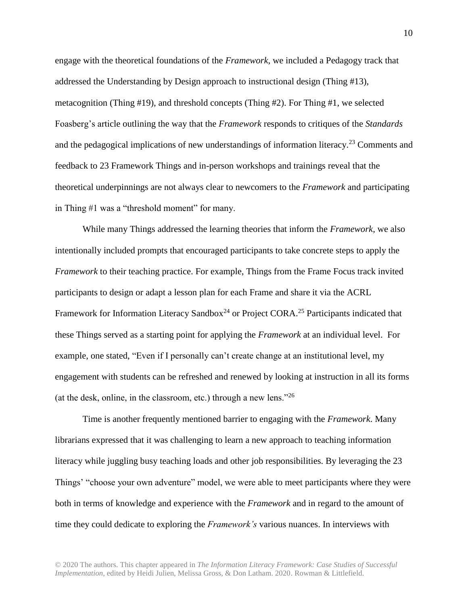engage with the theoretical foundations of the *Framework*, we included a Pedagogy track that addressed the Understanding by Design approach to instructional design (Thing #13), metacognition (Thing #19), and threshold concepts (Thing #2). For Thing #1, we selected Foasberg's article outlining the way that the *Framework* responds to critiques of the *Standards* and the pedagogical implications of new understandings of information literacy.<sup>23</sup> Comments and feedback to 23 Framework Things and in-person workshops and trainings reveal that the theoretical underpinnings are not always clear to newcomers to the *Framework* and participating in Thing #1 was a "threshold moment" for many.

While many Things addressed the learning theories that inform the *Framework*, we also intentionally included prompts that encouraged participants to take concrete steps to apply the *Framework* to their teaching practice. For example, Things from the Frame Focus track invited participants to design or adapt a lesson plan for each Frame and share it via the ACRL Framework for Information Literacy Sandbox<sup>24</sup> or Project CORA.<sup>25</sup> Participants indicated that these Things served as a starting point for applying the *Framework* at an individual level. For example, one stated, "Even if I personally can't create change at an institutional level, my engagement with students can be refreshed and renewed by looking at instruction in all its forms (at the desk, online, in the classroom, etc.) through a new lens.<sup> $26$ </sup>

Time is another frequently mentioned barrier to engaging with the *Framework*. Many librarians expressed that it was challenging to learn a new approach to teaching information literacy while juggling busy teaching loads and other job responsibilities. By leveraging the 23 Things' "choose your own adventure" model, we were able to meet participants where they were both in terms of knowledge and experience with the *Framework* and in regard to the amount of time they could dedicate to exploring the *Framework's* various nuances. In interviews with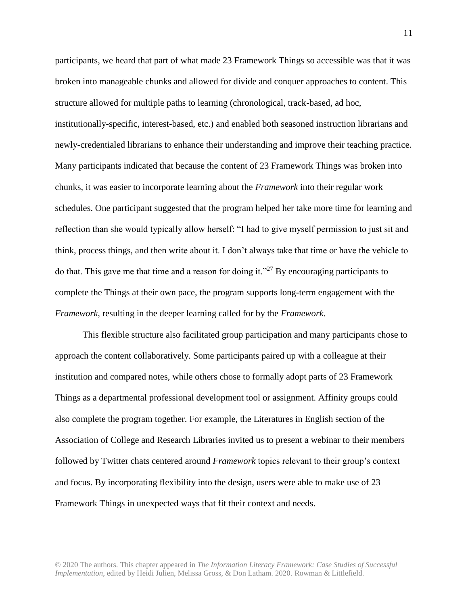participants, we heard that part of what made 23 Framework Things so accessible was that it was broken into manageable chunks and allowed for divide and conquer approaches to content. This structure allowed for multiple paths to learning (chronological, track-based, ad hoc, institutionally-specific, interest-based, etc.) and enabled both seasoned instruction librarians and newly-credentialed librarians to enhance their understanding and improve their teaching practice. Many participants indicated that because the content of 23 Framework Things was broken into chunks, it was easier to incorporate learning about the *Framework* into their regular work schedules. One participant suggested that the program helped her take more time for learning and reflection than she would typically allow herself: "I had to give myself permission to just sit and think, process things, and then write about it. I don't always take that time or have the vehicle to do that. This gave me that time and a reason for doing it."<sup>27</sup> By encouraging participants to complete the Things at their own pace, the program supports long-term engagement with the *Framework*, resulting in the deeper learning called for by the *Framework*.

This flexible structure also facilitated group participation and many participants chose to approach the content collaboratively. Some participants paired up with a colleague at their institution and compared notes, while others chose to formally adopt parts of 23 Framework Things as a departmental professional development tool or assignment. Affinity groups could also complete the program together. For example, the Literatures in English section of the Association of College and Research Libraries invited us to present a webinar to their members followed by Twitter chats centered around *Framework* topics relevant to their group's context and focus. By incorporating flexibility into the design, users were able to make use of 23 Framework Things in unexpected ways that fit their context and needs.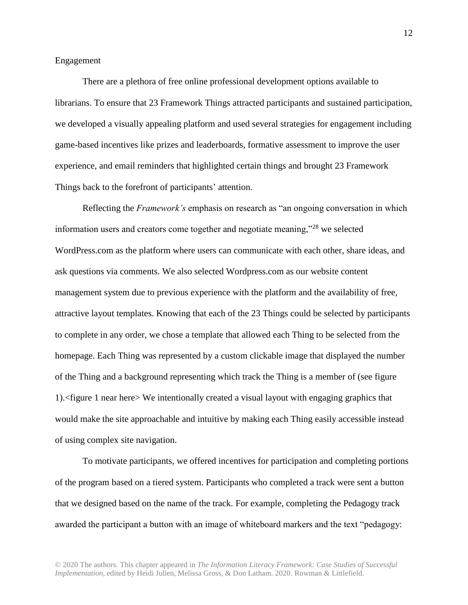Engagement

There are a plethora of free online professional development options available to librarians. To ensure that 23 Framework Things attracted participants and sustained participation, we developed a visually appealing platform and used several strategies for engagement including game-based incentives like prizes and leaderboards, formative assessment to improve the user experience, and email reminders that highlighted certain things and brought 23 Framework Things back to the forefront of participants' attention.

Reflecting the *Framework's* emphasis on research as "an ongoing conversation in which information users and creators come together and negotiate meaning,"<sup>28</sup> we selected WordPress.com as the platform where users can communicate with each other, share ideas, and ask questions via comments. We also selected Wordpress.com as our website content management system due to previous experience with the platform and the availability of free, attractive layout templates. Knowing that each of the 23 Things could be selected by participants to complete in any order, we chose a template that allowed each Thing to be selected from the homepage. Each Thing was represented by a custom clickable image that displayed the number of the Thing and a background representing which track the Thing is a member of (see figure 1).<figure 1 near here> We intentionally created a visual layout with engaging graphics that would make the site approachable and intuitive by making each Thing easily accessible instead of using complex site navigation.

To motivate participants, we offered incentives for participation and completing portions of the program based on a tiered system. Participants who completed a track were sent a button that we designed based on the name of the track. For example, completing the Pedagogy track awarded the participant a button with an image of whiteboard markers and the text "pedagogy: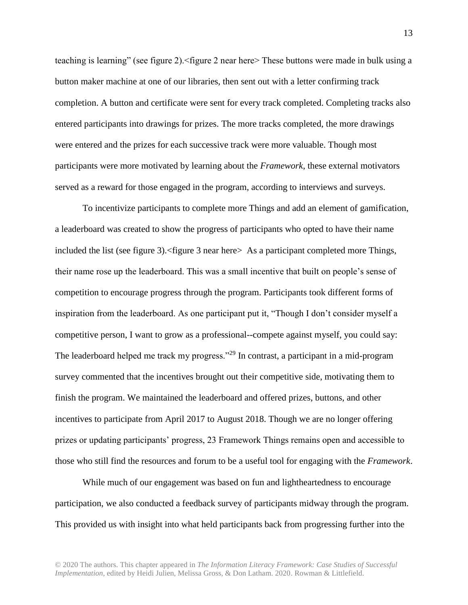teaching is learning" (see figure 2).<figure 2 near here> These buttons were made in bulk using a button maker machine at one of our libraries, then sent out with a letter confirming track completion. A button and certificate were sent for every track completed. Completing tracks also entered participants into drawings for prizes. The more tracks completed, the more drawings were entered and the prizes for each successive track were more valuable. Though most participants were more motivated by learning about the *Framework*, these external motivators served as a reward for those engaged in the program, according to interviews and surveys.

To incentivize participants to complete more Things and add an element of gamification, a leaderboard was created to show the progress of participants who opted to have their name included the list (see figure 3).<figure 3 near here> As a participant completed more Things, their name rose up the leaderboard. This was a small incentive that built on people's sense of competition to encourage progress through the program. Participants took different forms of inspiration from the leaderboard. As one participant put it, "Though I don't consider myself a competitive person, I want to grow as a professional--compete against myself, you could say: The leaderboard helped me track my progress."<sup>29</sup> In contrast, a participant in a mid-program survey commented that the incentives brought out their competitive side, motivating them to finish the program. We maintained the leaderboard and offered prizes, buttons, and other incentives to participate from April 2017 to August 2018. Though we are no longer offering prizes or updating participants' progress, 23 Framework Things remains open and accessible to those who still find the resources and forum to be a useful tool for engaging with the *Framework*.

While much of our engagement was based on fun and lightheartedness to encourage participation, we also conducted a feedback survey of participants midway through the program. This provided us with insight into what held participants back from progressing further into the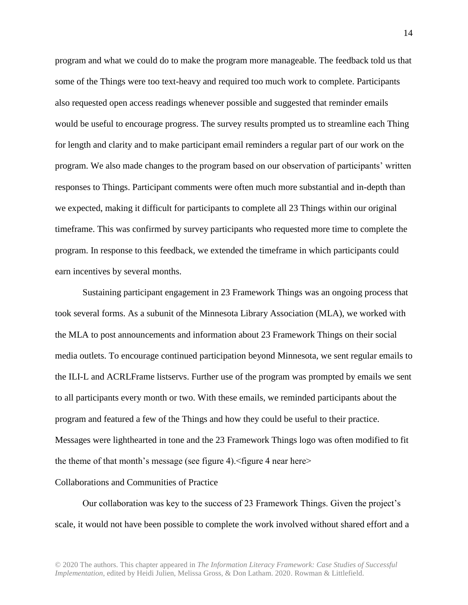program and what we could do to make the program more manageable. The feedback told us that some of the Things were too text-heavy and required too much work to complete. Participants also requested open access readings whenever possible and suggested that reminder emails would be useful to encourage progress. The survey results prompted us to streamline each Thing for length and clarity and to make participant email reminders a regular part of our work on the program. We also made changes to the program based on our observation of participants' written responses to Things. Participant comments were often much more substantial and in-depth than we expected, making it difficult for participants to complete all 23 Things within our original timeframe. This was confirmed by survey participants who requested more time to complete the program. In response to this feedback, we extended the timeframe in which participants could earn incentives by several months.

Sustaining participant engagement in 23 Framework Things was an ongoing process that took several forms. As a subunit of the Minnesota Library Association (MLA), we worked with the MLA to post announcements and information about 23 Framework Things on their social media outlets. To encourage continued participation beyond Minnesota, we sent regular emails to the ILI-L and ACRLFrame listservs. Further use of the program was prompted by emails we sent to all participants every month or two. With these emails, we reminded participants about the program and featured a few of the Things and how they could be useful to their practice. Messages were lighthearted in tone and the 23 Framework Things logo was often modified to fit the theme of that month's message (see figure 4).<figure 4 near here>

#### Collaborations and Communities of Practice

Our collaboration was key to the success of 23 Framework Things. Given the project's scale, it would not have been possible to complete the work involved without shared effort and a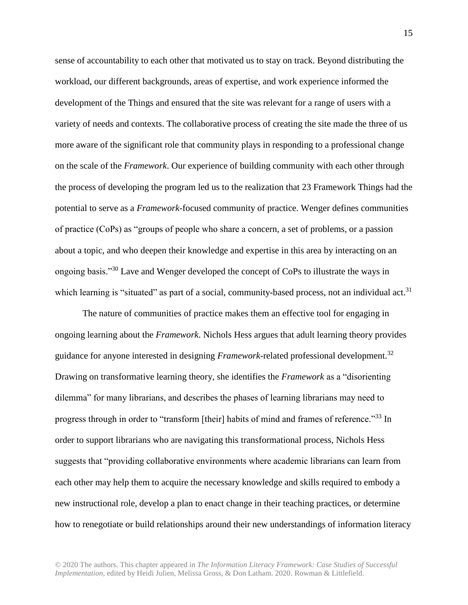sense of accountability to each other that motivated us to stay on track. Beyond distributing the workload, our different backgrounds, areas of expertise, and work experience informed the development of the Things and ensured that the site was relevant for a range of users with a variety of needs and contexts. The collaborative process of creating the site made the three of us more aware of the significant role that community plays in responding to a professional change on the scale of the *Framework*. Our experience of building community with each other through the process of developing the program led us to the realization that 23 Framework Things had the potential to serve as a *Framework*-focused community of practice. Wenger defines communities of practice (CoPs) as "groups of people who share a concern, a set of problems, or a passion about a topic, and who deepen their knowledge and expertise in this area by interacting on an ongoing basis."<sup>30</sup> Lave and Wenger developed the concept of CoPs to illustrate the ways in which learning is "situated" as part of a social, community-based process, not an individual act.<sup>31</sup>

The nature of communities of practice makes them an effective tool for engaging in ongoing learning about the *Framework*. Nichols Hess argues that adult learning theory provides guidance for anyone interested in designing *Framework*-related professional development.<sup>32</sup> Drawing on transformative learning theory, she identifies the *Framework* as a "disorienting dilemma" for many librarians, and describes the phases of learning librarians may need to progress through in order to "transform [their] habits of mind and frames of reference."<sup>33</sup> In order to support librarians who are navigating this transformational process, Nichols Hess suggests that "providing collaborative environments where academic librarians can learn from each other may help them to acquire the necessary knowledge and skills required to embody a new instructional role, develop a plan to enact change in their teaching practices, or determine how to renegotiate or build relationships around their new understandings of information literacy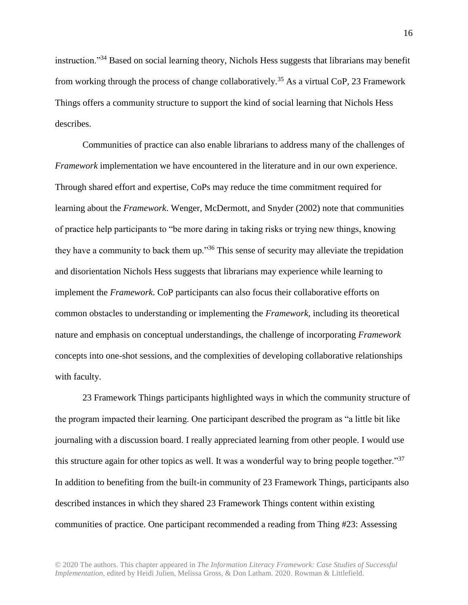instruction."<sup>34</sup> Based on social learning theory, Nichols Hess suggests that librarians may benefit from working through the process of change collaboratively.<sup>35</sup> As a virtual CoP, 23 Framework Things offers a community structure to support the kind of social learning that Nichols Hess describes.

Communities of practice can also enable librarians to address many of the challenges of *Framework* implementation we have encountered in the literature and in our own experience. Through shared effort and expertise, CoPs may reduce the time commitment required for learning about the *Framework*. Wenger, McDermott, and Snyder (2002) note that communities of practice help participants to "be more daring in taking risks or trying new things, knowing they have a community to back them up."<sup>36</sup> This sense of security may alleviate the trepidation and disorientation Nichols Hess suggests that librarians may experience while learning to implement the *Framework*. CoP participants can also focus their collaborative efforts on common obstacles to understanding or implementing the *Framework*, including its theoretical nature and emphasis on conceptual understandings, the challenge of incorporating *Framework* concepts into one-shot sessions, and the complexities of developing collaborative relationships with faculty.

23 Framework Things participants highlighted ways in which the community structure of the program impacted their learning. One participant described the program as "a little bit like journaling with a discussion board. I really appreciated learning from other people. I would use this structure again for other topics as well. It was a wonderful way to bring people together."<sup>37</sup> In addition to benefiting from the built-in community of 23 Framework Things, participants also described instances in which they shared 23 Framework Things content within existing communities of practice. One participant recommended a reading from Thing #23: Assessing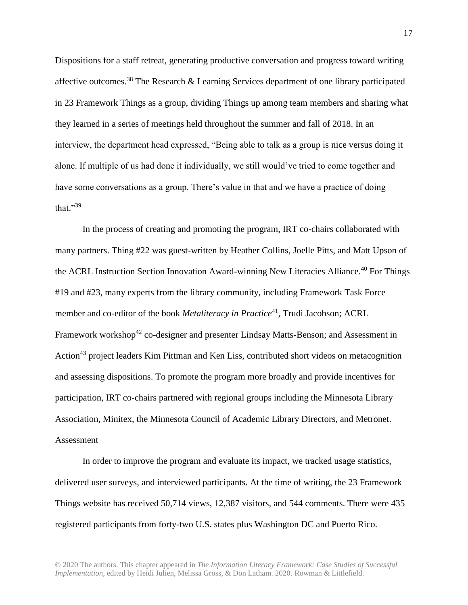Dispositions for a staff retreat, generating productive conversation and progress toward writing affective outcomes.<sup>38</sup> The Research & Learning Services department of one library participated in 23 Framework Things as a group, dividing Things up among team members and sharing what they learned in a series of meetings held throughout the summer and fall of 2018. In an interview, the department head expressed, "Being able to talk as a group is nice versus doing it alone. If multiple of us had done it individually, we still would've tried to come together and have some conversations as a group. There's value in that and we have a practice of doing that." $39$ 

In the process of creating and promoting the program, IRT co-chairs collaborated with many partners. Thing #22 was guest-written by Heather Collins, Joelle Pitts, and Matt Upson of the ACRL Instruction Section Innovation Award-winning New Literacies Alliance.<sup>40</sup> For Things #19 and #23, many experts from the library community, including Framework Task Force member and co-editor of the book *Metaliteracy in Practice*<sup>41</sup>, Trudi Jacobson; ACRL Framework workshop<sup>42</sup> co-designer and presenter Lindsay Matts-Benson; and Assessment in Action<sup>43</sup> project leaders Kim Pittman and Ken Liss, contributed short videos on metacognition and assessing dispositions. To promote the program more broadly and provide incentives for participation, IRT co-chairs partnered with regional groups including the Minnesota Library Association, Minitex, the Minnesota Council of Academic Library Directors, and Metronet. Assessment

In order to improve the program and evaluate its impact, we tracked usage statistics, delivered user surveys, and interviewed participants. At the time of writing, the 23 Framework Things website has received 50,714 views, 12,387 visitors, and 544 comments. There were 435 registered participants from forty-two U.S. states plus Washington DC and Puerto Rico.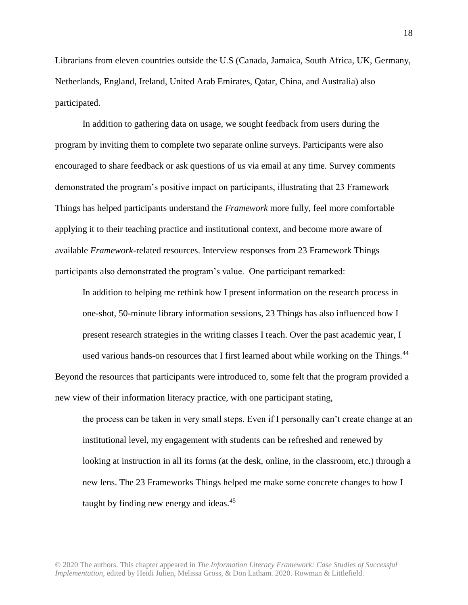Librarians from eleven countries outside the U.S (Canada, Jamaica, South Africa, UK, Germany, Netherlands, England, Ireland, United Arab Emirates, Qatar, China, and Australia) also participated.

In addition to gathering data on usage, we sought feedback from users during the program by inviting them to complete two separate online surveys. Participants were also encouraged to share feedback or ask questions of us via email at any time. Survey comments demonstrated the program's positive impact on participants, illustrating that 23 Framework Things has helped participants understand the *Framework* more fully, feel more comfortable applying it to their teaching practice and institutional context, and become more aware of available *Framework*-related resources. Interview responses from 23 Framework Things participants also demonstrated the program's value. One participant remarked:

In addition to helping me rethink how I present information on the research process in one-shot, 50-minute library information sessions, 23 Things has also influenced how I present research strategies in the writing classes I teach. Over the past academic year, I

used various hands-on resources that I first learned about while working on the Things.<sup>44</sup> Beyond the resources that participants were introduced to, some felt that the program provided a new view of their information literacy practice, with one participant stating,

the process can be taken in very small steps. Even if I personally can't create change at an institutional level, my engagement with students can be refreshed and renewed by looking at instruction in all its forms (at the desk, online, in the classroom, etc.) through a new lens. The 23 Frameworks Things helped me make some concrete changes to how I taught by finding new energy and ideas.<sup>45</sup>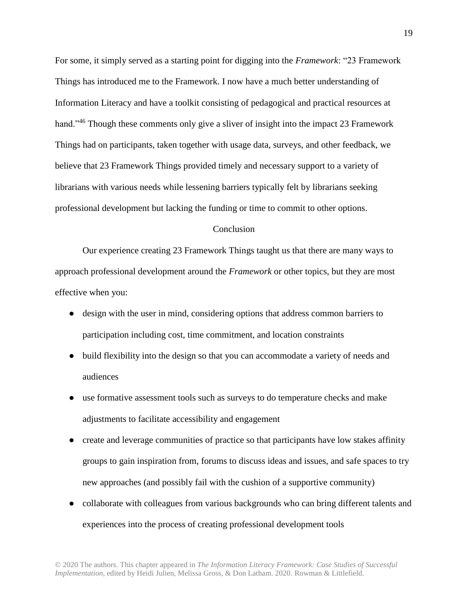For some, it simply served as a starting point for digging into the *Framework*: "23 Framework Things has introduced me to the Framework. I now have a much better understanding of Information Literacy and have a toolkit consisting of pedagogical and practical resources at hand."<sup>46</sup> Though these comments only give a sliver of insight into the impact 23 Framework Things had on participants, taken together with usage data, surveys, and other feedback, we believe that 23 Framework Things provided timely and necessary support to a variety of librarians with various needs while lessening barriers typically felt by librarians seeking professional development but lacking the funding or time to commit to other options.

#### Conclusion

Our experience creating 23 Framework Things taught us that there are many ways to approach professional development around the *Framework* or other topics, but they are most effective when you:

- design with the user in mind, considering options that address common barriers to participation including cost, time commitment, and location constraints
- build flexibility into the design so that you can accommodate a variety of needs and audiences
- use formative assessment tools such as surveys to do temperature checks and make adjustments to facilitate accessibility and engagement
- create and leverage communities of practice so that participants have low stakes affinity groups to gain inspiration from, forums to discuss ideas and issues, and safe spaces to try new approaches (and possibly fail with the cushion of a supportive community)
- collaborate with colleagues from various backgrounds who can bring different talents and experiences into the process of creating professional development tools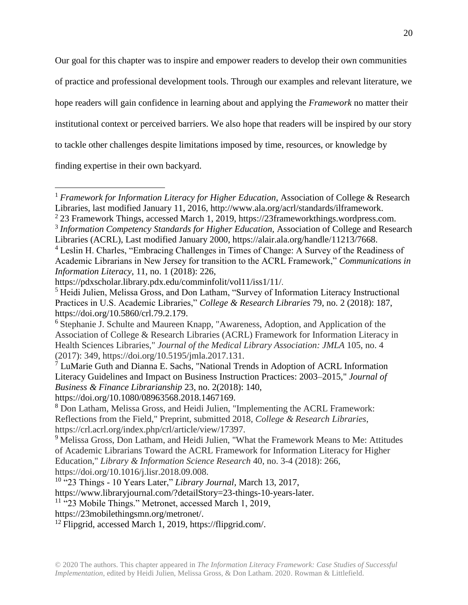Our goal for this chapter was to inspire and empower readers to develop their own communities of practice and professional development tools. Through our examples and relevant literature, we hope readers will gain confidence in learning about and applying the *Framework* no matter their institutional context or perceived barriers. We also hope that readers will be inspired by our story to tackle other challenges despite limitations imposed by time, resources, or knowledge by

finding expertise in their own backyard.

 $\overline{a}$ 

<sup>2</sup> 23 Framework Things, accessed March 1, 2019, https://23frameworkthings.wordpress.com. <sup>3</sup> Information Competency Standards for Higher Education, Association of College and Research

https://doi.org/10.1080/08963568.2018.1467169.

https://www.libraryjournal.com/?detailStory=23-things-10-years-later.

<sup>11</sup> "23 Mobile Things." Metronet, accessed March 1, 2019,

https://23mobilethingsmn.org/metronet/.

 $12$  Flipgrid, accessed March 1, 2019, https://flipgrid.com/.

<sup>&</sup>lt;sup>1</sup> Framework for Information Literacy for Higher Education, Association of College & Research Libraries, last modified January 11, 2016, http://www.ala.org/acrl/standards/ilframework.

Libraries (ACRL), Last modified January 2000, https://alair.ala.org/handle/11213/7668. <sup>4</sup> Leslin H. Charles, "Embracing Challenges in Times of Change: A Survey of the Readiness of Academic Librarians in New Jersey for transition to the ACRL Framework," *Communications in Information Literacy*, 11, no. 1 (2018): 226,

https://pdxscholar.library.pdx.edu/comminfolit/vol11/iss1/11/.

<sup>5</sup> Heidi Julien, Melissa Gross, and Don Latham, "Survey of Information Literacy Instructional Practices in U.S. Academic Libraries," *College & Research Libraries* 79, no. 2 (2018): 187, https://doi.org/10.5860/crl.79.2.179.

<sup>6</sup> Stephanie J. Schulte and Maureen Knapp, "Awareness, Adoption, and Application of the Association of College & Research Libraries (ACRL) Framework for Information Literacy in Health Sciences Libraries," *Journal of the Medical Library Association: JMLA* 105, no. 4 (2017): 349, https://doi.org/10.5195/jmla.2017.131.

<sup>7</sup> LuMarie Guth and Dianna E. Sachs, "National Trends in Adoption of ACRL Information Literacy Guidelines and Impact on Business Instruction Practices: 2003–2015," *Journal of Business & Finance Librarianship* 23, no. 2(2018): 140,

<sup>8</sup> Don Latham, Melissa Gross, and Heidi Julien, "Implementing the ACRL Framework: Reflections from the Field," Preprint, submitted 2018, *College & Research Libraries*, https://crl.acrl.org/index.php/crl/article/view/17397.

<sup>&</sup>lt;sup>9</sup> Melissa Gross, Don Latham, and Heidi Julien, "What the Framework Means to Me: Attitudes of Academic Librarians Toward the ACRL Framework for Information Literacy for Higher Education," *Library & Information Science Research* 40, no. 3-4 (2018): 266, https://doi.org/10.1016/j.lisr.2018.09.008.

<sup>10</sup> "23 Things - 10 Years Later," *Library Journal,* March 13, 2017,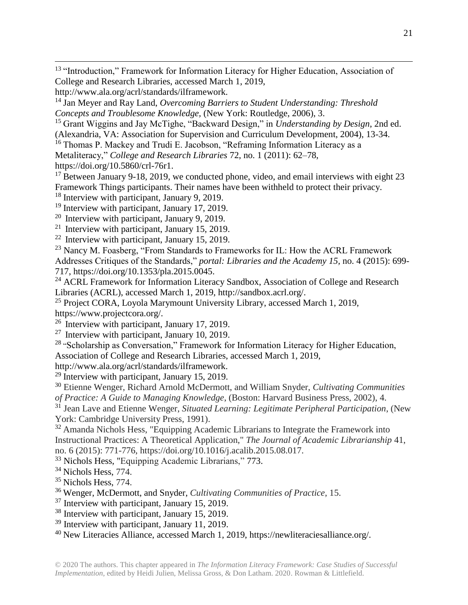<sup>13</sup> "Introduction," Framework for Information Literacy for Higher Education, Association of College and Research Libraries, accessed March 1, 2019,

http://www.ala.org/acrl/standards/ilframework.

<sup>14</sup> Jan Meyer and Ray Land, *Overcoming Barriers to Student Understanding: Threshold Concepts and Troublesome Knowledge,* (New York: Routledge, 2006), 3.

<sup>15</sup> Grant Wiggins and Jay McTighe, "Backward Design," in *Understanding by Design*, 2nd ed. (Alexandria, VA: Association for Supervision and Curriculum Development, 2004), 13-34.

<sup>16</sup> Thomas P. Mackey and Trudi E. Jacobson, "Reframing Information Literacy as a

Metaliteracy," *College and Research Libraries* 72, no. 1 (2011): 62–78,

https://doi.org/10.5860/crl-76r1.

 $\overline{a}$ 

 $17$  Between January 9-18, 2019, we conducted phone, video, and email interviews with eight 23 Framework Things participants. Their names have been withheld to protect their privacy.

<sup>18</sup> Interview with participant, January 9, 2019.

<sup>19</sup> Interview with participant, January 17, 2019.

 $20$  Interview with participant, January 9, 2019.

<sup>21</sup> Interview with participant, January 15, 2019.

 $22$  Interview with participant, January 15, 2019.

<sup>23</sup> Nancy M. Foasberg, "From Standards to Frameworks for IL: How the ACRL Framework

Addresses Critiques of the Standards," *portal: Libraries and the Academy 15,* no. 4 (2015): 699- 717, https://doi.org/10.1353/pla.2015.0045.

<sup>24</sup> ACRL Framework for Information Literacy Sandbox, Association of College and Research Libraries (ACRL), accessed March 1, 2019, http://sandbox.acrl.org/.

<sup>25</sup> Project CORA, Loyola Marymount University Library, accessed March 1, 2019, https://www.projectcora.org/.

<sup>26</sup> Interview with participant, January 17, 2019.

<sup>27</sup> Interview with participant, January 10, 2019.

<sup>28</sup> "Scholarship as Conversation," Framework for Information Literacy for Higher Education, Association of College and Research Libraries, accessed March 1, 2019,

http://www.ala.org/acrl/standards/ilframework.

 $29$  Interview with participant, January 15, 2019.

<sup>30</sup> Etienne Wenger, Richard Arnold McDermott, and William Snyder, *Cultivating Communities of Practice: A Guide to Managing Knowledge*, (Boston: Harvard Business Press, 2002), 4.

<sup>31</sup> Jean Lave and Etienne Wenger, *Situated Learning: Legitimate Peripheral Participation*, (New York: Cambridge University Press, 1991).

<sup>32</sup> Amanda Nichols Hess, "Equipping Academic Librarians to Integrate the Framework into Instructional Practices: A Theoretical Application," *The Journal of Academic Librarianship* 41, no. 6 (2015): 771-776, https://doi.org/10.1016/j.acalib.2015.08.017.

<sup>33</sup> Nichols Hess, "Equipping Academic Librarians," 773.

<sup>34</sup> Nichols Hess, 774.

<sup>35</sup> Nichols Hess, 774.

<sup>36</sup> Wenger, McDermott, and Snyder, *Cultivating Communities of Practice*, 15.

 $37$  Interview with participant, January 15, 2019.

<sup>38</sup> Interview with participant, January 15, 2019.

<sup>39</sup> Interview with participant, January 11, 2019.

<sup>40</sup> New Literacies Alliance, accessed March 1, 2019, https://newliteraciesalliance.org/.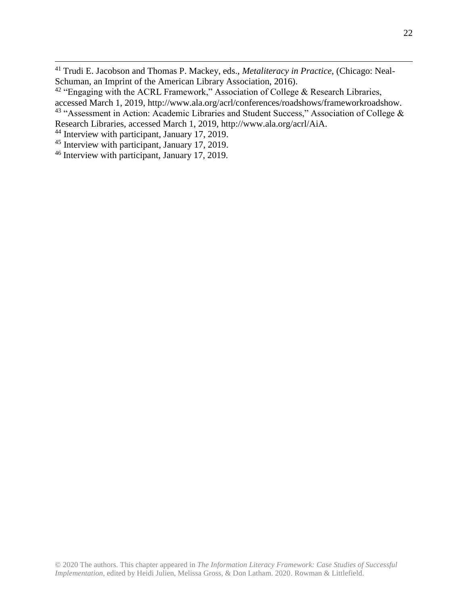<sup>41</sup> Trudi E. Jacobson and Thomas P. Mackey, eds., *Metaliteracy in Practice*, (Chicago: Neal-Schuman, an Imprint of the American Library Association, 2016).

<sup>42</sup> "Engaging with the ACRL Framework," Association of College & Research Libraries, accessed March 1, 2019, http://www.ala.org/acrl/conferences/roadshows/frameworkroadshow. <sup>43</sup> "Assessment in Action: Academic Libraries and Student Success," Association of College &

Research Libraries, accessed March 1, 2019, http://www.ala.org/acrl/AiA.

<sup>44</sup> Interview with participant, January 17, 2019.

 $\overline{a}$ 

<sup>45</sup> Interview with participant, January 17, 2019.

<sup>46</sup> Interview with participant, January 17, 2019.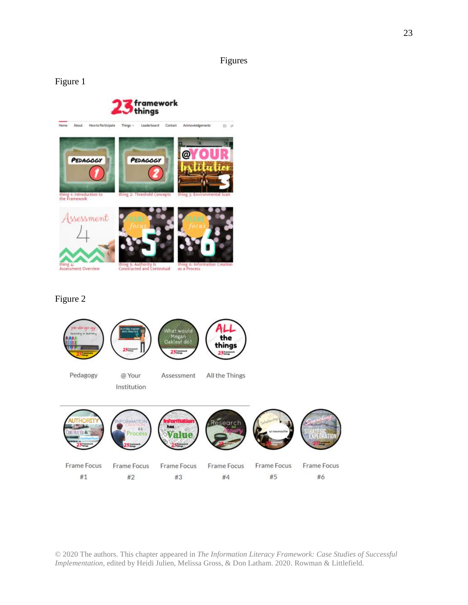### Figures

Figure 1



How to Participate Leaderboard Contact Acknowledgements About Things ~  $11 - y$ 







Figure 2



Institution











Frame Focus  $#1$ 

Frame Focus  $#2$ 

Frame Focus  $#3$ 

Frame Focus #4

Frame Focus

Frame Focus  $#6$ 

© 2020 The authors. This chapter appeared in *The Information Literacy Framework: Case Studies of Successful Implementation*, edited by Heidi Julien, Melissa Gross, & Don Latham. 2020. Rowman & Littlefield.

#5